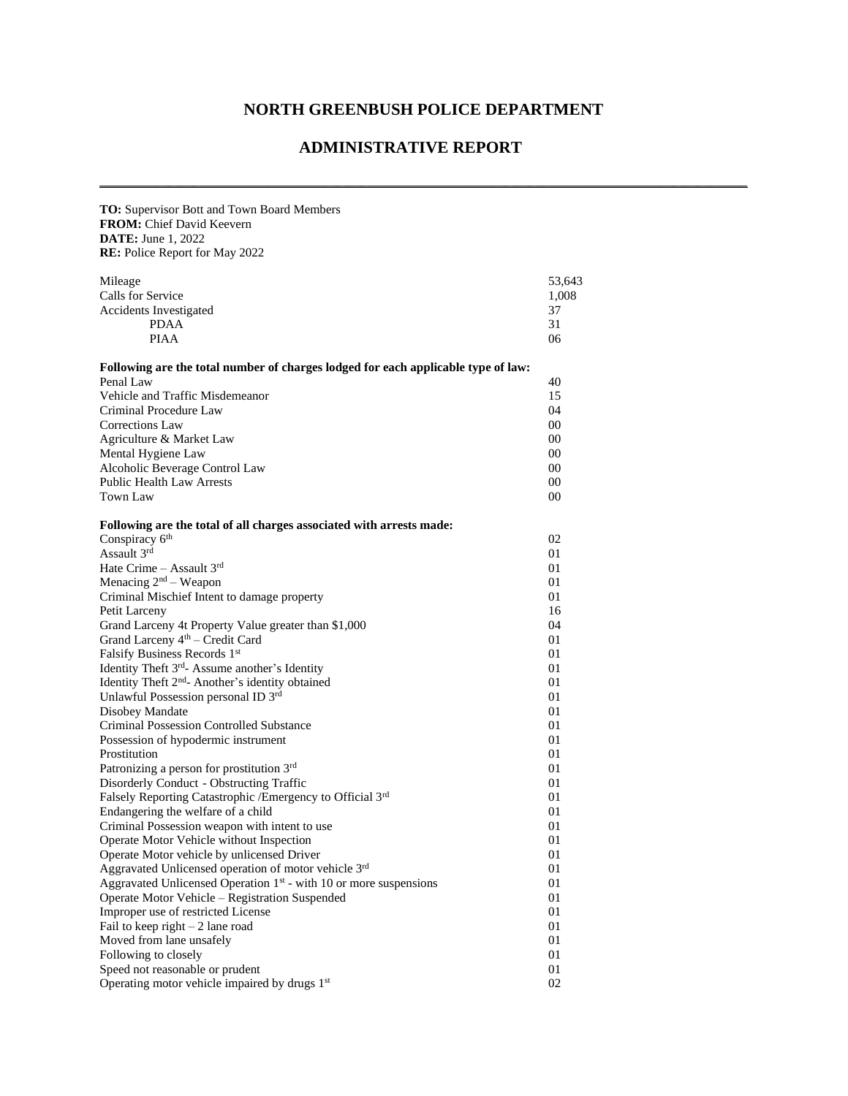## **NORTH GREENBUSH POLICE DEPARTMENT**

**\_\_\_\_\_\_\_\_\_\_\_\_\_\_\_\_\_\_\_\_\_\_\_\_\_\_\_\_\_\_\_\_\_\_\_\_\_\_\_\_\_\_\_\_\_\_\_\_\_\_\_\_\_\_\_\_\_\_\_\_\_\_\_\_\_\_\_\_\_\_\_\_\_\_\_\_\_\_\_\_\_\_\_\_\_\_\_\_\_\_\_\_\_\_\_\_\_\_\_\_\_\_\_\_**

## **ADMINISTRATIVE REPORT**

| TO: Supervisor Bott and Town Board Members                                        |        |
|-----------------------------------------------------------------------------------|--------|
| FROM: Chief David Keevern                                                         |        |
| <b>DATE:</b> June 1, 2022                                                         |        |
| <b>RE:</b> Police Report for May 2022                                             |        |
|                                                                                   |        |
| Mileage                                                                           | 53,643 |
| Calls for Service                                                                 | 1,008  |
| <b>Accidents Investigated</b>                                                     | 37     |
| <b>PDAA</b>                                                                       | 31     |
| <b>PIAA</b>                                                                       | 06     |
| Following are the total number of charges lodged for each applicable type of law: |        |
| Penal Law                                                                         | 40     |
| Vehicle and Traffic Misdemeanor                                                   | 15     |
| Criminal Procedure Law                                                            | 04     |
| <b>Corrections Law</b>                                                            | 00     |
| Agriculture & Market Law                                                          | 00     |
| Mental Hygiene Law                                                                | 00     |
| Alcoholic Beverage Control Law                                                    | 00     |
| <b>Public Health Law Arrests</b>                                                  | 00     |
| Town Law                                                                          | 00     |
|                                                                                   |        |
| Following are the total of all charges associated with arrests made:              |        |
| Conspiracy 6 <sup>th</sup>                                                        | 02     |
| Assault 3rd                                                                       | 01     |
| Hate Crime - Assault 3rd                                                          | 01     |
| Menacing $2nd$ – Weapon                                                           | 01     |
| Criminal Mischief Intent to damage property                                       | 01     |
| Petit Larceny                                                                     | 16     |
| Grand Larceny 4t Property Value greater than \$1,000                              | 04     |
| Grand Larceny 4 <sup>th</sup> – Credit Card                                       | 01     |
| Falsify Business Records 1st                                                      | 01     |
| Identity Theft 3 <sup>rd</sup> - Assume another's Identity                        | 01     |
| Identity Theft 2 <sup>nd</sup> - Another's identity obtained                      | 01     |
| Unlawful Possession personal ID 3rd                                               | 01     |
| Disobey Mandate                                                                   | 01     |
| <b>Criminal Possession Controlled Substance</b>                                   | 01     |
| Possession of hypodermic instrument                                               | 01     |
| Prostitution                                                                      | 01     |
| Patronizing a person for prostitution 3rd                                         | 01     |
| Disorderly Conduct - Obstructing Traffic                                          | 01     |
| Falsely Reporting Catastrophic /Emergency to Official 3rd                         | 01     |
| Endangering the welfare of a child                                                | 01     |
| Criminal Possession weapon with intent to use                                     | 01     |
| Operate Motor Vehicle without Inspection                                          | 01     |
| Operate Motor vehicle by unlicensed Driver                                        | 01     |
| Aggravated Unlicensed operation of motor vehicle 3rd                              | 01     |
| Aggravated Unlicensed Operation $1st$ - with 10 or more suspensions               | 01     |
| Operate Motor Vehicle - Registration Suspended                                    | 01     |
| Improper use of restricted License                                                | 01     |
| Fail to keep right $-2$ lane road                                                 | 01     |
| Moved from lane unsafely                                                          | 01     |
| Following to closely                                                              | 01     |
| Speed not reasonable or prudent                                                   | 01     |
| Operating motor vehicle impaired by drugs 1 <sup>st</sup>                         | 02     |